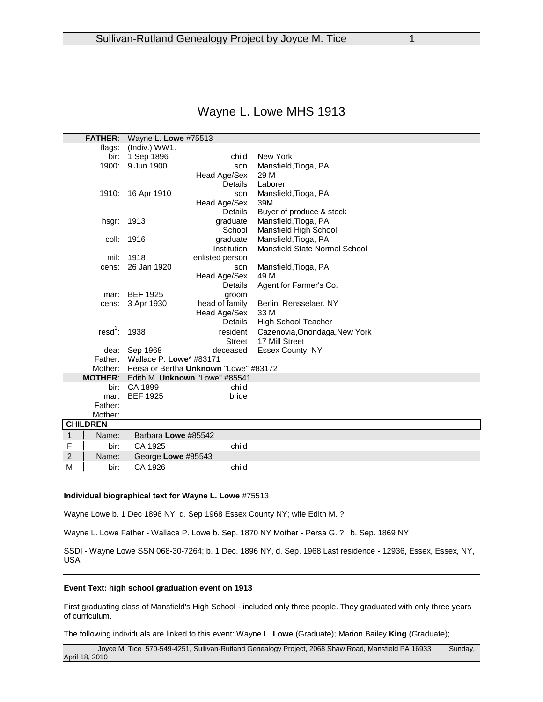# Wayne L. Lowe MHS 1913

| <b>FATHER:</b>  |                            | Wayne L. Lowe #75513                  |                    |                               |
|-----------------|----------------------------|---------------------------------------|--------------------|-------------------------------|
|                 | flags:                     | (Indiv.) WW1.                         |                    |                               |
|                 | bir:                       | 1 Sep 1896                            | child              | New York                      |
|                 | 1900:                      | 9 Jun 1900                            | son                | Mansfield, Tioga, PA          |
|                 |                            |                                       | Head Age/Sex       | 29 M                          |
|                 |                            |                                       | <b>Details</b>     | Laborer                       |
|                 |                            | 1910: 16 Apr 1910                     | son                | Mansfield, Tioga, PA          |
|                 |                            |                                       | Head Age/Sex       | 39M                           |
|                 |                            |                                       | <b>Details</b>     | Buyer of produce & stock      |
|                 |                            | hsgr: 1913                            | graduate           | Mansfield, Tioga, PA          |
|                 |                            |                                       | School             | Mansfield High School         |
|                 | coll:                      | 1916                                  | graduate           | Mansfield, Tioga, PA          |
|                 |                            |                                       | <b>Institution</b> | Mansfield State Normal School |
|                 | mil:                       | 1918                                  | enlisted person    |                               |
|                 | cens:                      | 26 Jan 1920                           | son                | Mansfield, Tioga, PA          |
|                 |                            |                                       | Head Age/Sex       | 49 M                          |
|                 |                            |                                       | Details            | Agent for Farmer's Co.        |
|                 | mar:                       | <b>BEF 1925</b>                       | groom              |                               |
| cens:           |                            | 3 Apr 1930                            | head of family     | Berlin, Rensselaer, NY        |
|                 |                            |                                       | Head Age/Sex       | 33 M                          |
|                 |                            |                                       | <b>Details</b>     | High School Teacher           |
|                 | resd <sup>1</sup> : $1938$ |                                       | resident           | Cazenovia, Onondaga, New York |
|                 |                            |                                       | Street             | 17 Mill Street                |
|                 | dea:                       | Sep 1968                              | deceased           | Essex County, NY              |
| Father:         |                            | Wallace P. Lowe* #83171               |                    |                               |
| Mother:         |                            | Persa or Bertha Unknown "Lowe" #83172 |                    |                               |
| <b>MOTHER:</b>  |                            | Edith M. Unknown "Lowe" #85541        |                    |                               |
|                 | bir:                       | CA 1899                               | child              |                               |
|                 | mar:                       | <b>BEF 1925</b>                       | bride              |                               |
|                 | Father:                    |                                       |                    |                               |
|                 | Mother:                    |                                       |                    |                               |
| <b>CHILDREN</b> |                            |                                       |                    |                               |
| 1               | Name:                      | Barbara Lowe #85542                   |                    |                               |
| F               | bir:                       | CA 1925                               | child              |                               |
| $\overline{2}$  | Name:                      | George Lowe #85543                    |                    |                               |
| M               | bir:                       | CA 1926                               | child              |                               |

#### **Individual biographical text for Wayne L. Lowe** #75513

Wayne Lowe b. 1 Dec 1896 NY, d. Sep 1968 Essex County NY; wife Edith M. ?

Wayne L. Lowe Father - Wallace P. Lowe b. Sep. 1870 NY Mother - Persa G. ? b. Sep. 1869 NY

SSDI - Wayne Lowe SSN 068-30-7264; b. 1 Dec. 1896 NY, d. Sep. 1968 Last residence - 12936, Essex, Essex, NY, USA

## **Event Text: high school graduation event on 1913**

First graduating class of Mansfield's High School - included only three people. They graduated with only three years of curriculum.

The following individuals are linked to this event: Wayne L. **Lowe** (Graduate); Marion Bailey **King** (Graduate);

Joyce M. Tice 570-549-4251, Sullivan-Rutland Genealogy Project, 2068 Shaw Road, Mansfield PA 16933 Sunday, April 18, 2010